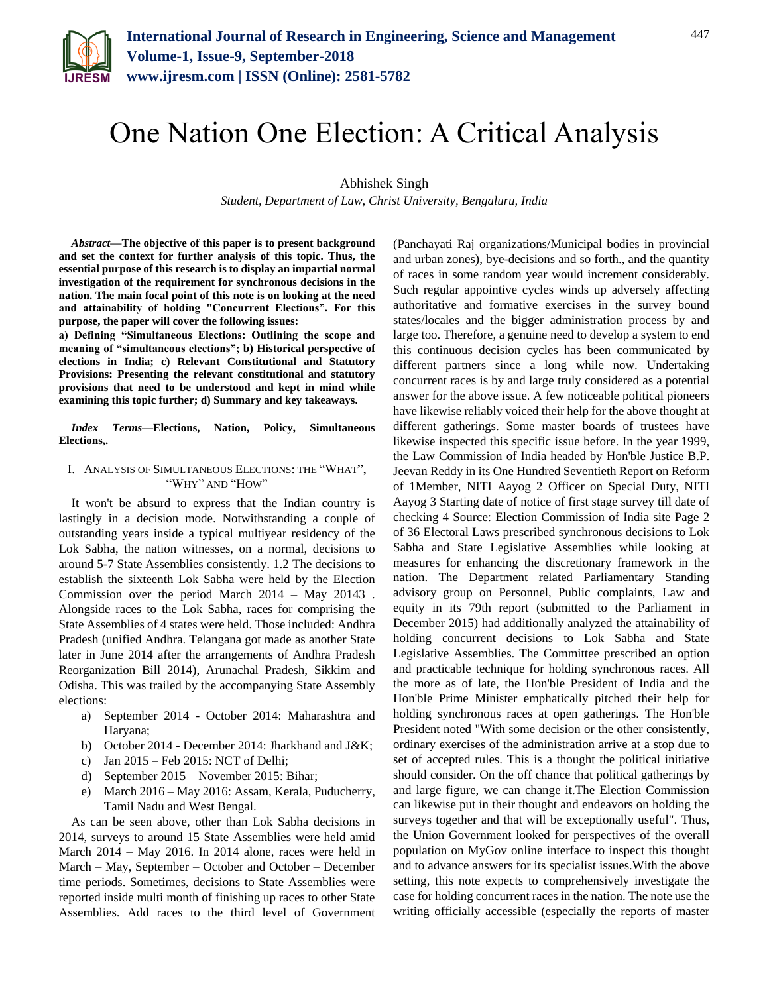

# One Nation One Election: A Critical Analysis

# Abhishek Singh

*Student, Department of Law, Christ University, Bengaluru, India*

*Abstract***—The objective of this paper is to present background and set the context for further analysis of this topic. Thus, the essential purpose of this research is to display an impartial normal investigation of the requirement for synchronous decisions in the nation. The main focal point of this note is on looking at the need and attainability of holding "Concurrent Elections". For this purpose, the paper will cover the following issues:**

**a) Defining "Simultaneous Elections: Outlining the scope and meaning of "simultaneous elections"; b) Historical perspective of elections in India; c) Relevant Constitutional and Statutory Provisions: Presenting the relevant constitutional and statutory provisions that need to be understood and kept in mind while examining this topic further; d) Summary and key takeaways.**

*Index Terms***—Elections, Nation, Policy, Simultaneous Elections,.**

### I. ANALYSIS OF SIMULTANEOUS ELECTIONS: THE "WHAT", "WHY" AND "HOW"

It won't be absurd to express that the Indian country is lastingly in a decision mode. Notwithstanding a couple of outstanding years inside a typical multiyear residency of the Lok Sabha, the nation witnesses, on a normal, decisions to around 5-7 State Assemblies consistently. 1.2 The decisions to establish the sixteenth Lok Sabha were held by the Election Commission over the period March 2014 – May 20143 . Alongside races to the Lok Sabha, races for comprising the State Assemblies of 4 states were held. Those included: Andhra Pradesh (unified Andhra. Telangana got made as another State later in June 2014 after the arrangements of Andhra Pradesh Reorganization Bill 2014), Arunachal Pradesh, Sikkim and Odisha. This was trailed by the accompanying State Assembly elections:

- a) September 2014 October 2014: Maharashtra and Haryana;
- b) October 2014 December 2014: Jharkhand and J&K;
- c) Jan 2015 Feb 2015: NCT of Delhi;
- d) September 2015 November 2015: Bihar;
- e) March 2016 May 2016: Assam, Kerala, Puducherry, Tamil Nadu and West Bengal.

As can be seen above, other than Lok Sabha decisions in 2014, surveys to around 15 State Assemblies were held amid March 2014 – May 2016. In 2014 alone, races were held in March – May, September – October and October – December time periods. Sometimes, decisions to State Assemblies were reported inside multi month of finishing up races to other State Assemblies. Add races to the third level of Government (Panchayati Raj organizations/Municipal bodies in provincial and urban zones), bye-decisions and so forth., and the quantity of races in some random year would increment considerably. Such regular appointive cycles winds up adversely affecting authoritative and formative exercises in the survey bound states/locales and the bigger administration process by and large too. Therefore, a genuine need to develop a system to end this continuous decision cycles has been communicated by different partners since a long while now. Undertaking concurrent races is by and large truly considered as a potential answer for the above issue. A few noticeable political pioneers have likewise reliably voiced their help for the above thought at different gatherings. Some master boards of trustees have likewise inspected this specific issue before. In the year 1999, the Law Commission of India headed by Hon'ble Justice B.P. Jeevan Reddy in its One Hundred Seventieth Report on Reform of 1Member, NITI Aayog 2 Officer on Special Duty, NITI Aayog 3 Starting date of notice of first stage survey till date of checking 4 Source: Election Commission of India site Page 2 of 36 Electoral Laws prescribed synchronous decisions to Lok Sabha and State Legislative Assemblies while looking at measures for enhancing the discretionary framework in the nation. The Department related Parliamentary Standing advisory group on Personnel, Public complaints, Law and equity in its 79th report (submitted to the Parliament in December 2015) had additionally analyzed the attainability of holding concurrent decisions to Lok Sabha and State Legislative Assemblies. The Committee prescribed an option and practicable technique for holding synchronous races. All the more as of late, the Hon'ble President of India and the Hon'ble Prime Minister emphatically pitched their help for holding synchronous races at open gatherings. The Hon'ble President noted "With some decision or the other consistently, ordinary exercises of the administration arrive at a stop due to set of accepted rules. This is a thought the political initiative should consider. On the off chance that political gatherings by and large figure, we can change it.The Election Commission can likewise put in their thought and endeavors on holding the surveys together and that will be exceptionally useful". Thus, the Union Government looked for perspectives of the overall population on MyGov online interface to inspect this thought and to advance answers for its specialist issues.With the above setting, this note expects to comprehensively investigate the case for holding concurrent races in the nation. The note use the writing officially accessible (especially the reports of master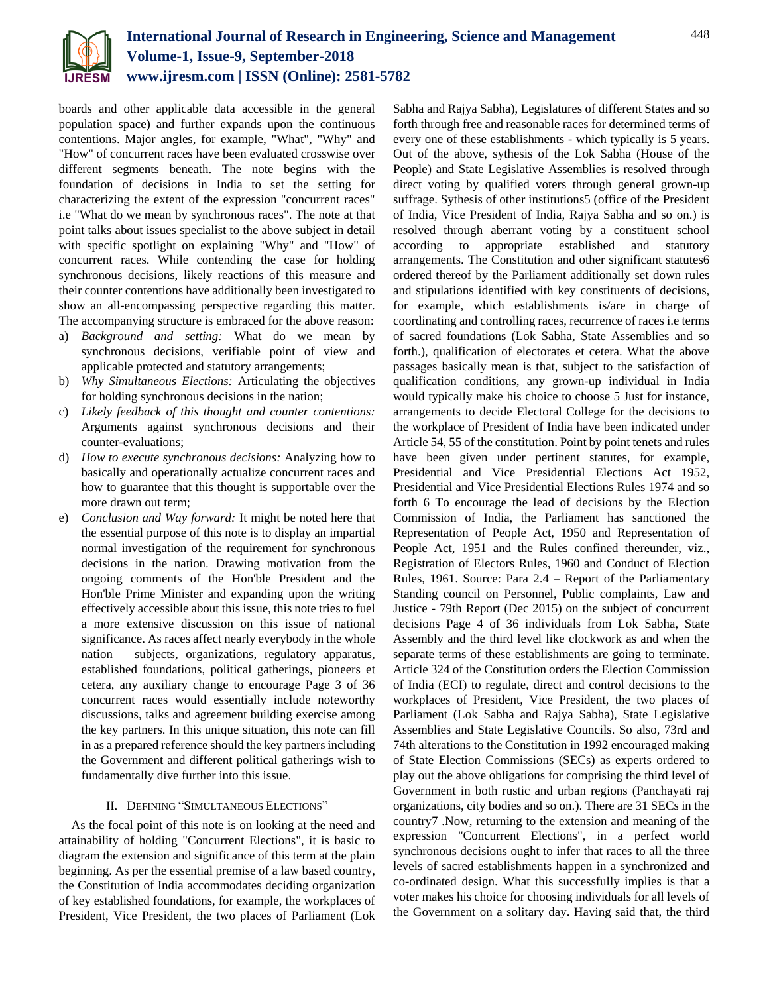

boards and other applicable data accessible in the general population space) and further expands upon the continuous contentions. Major angles, for example, "What", "Why" and "How" of concurrent races have been evaluated crosswise over different segments beneath. The note begins with the foundation of decisions in India to set the setting for characterizing the extent of the expression "concurrent races" i.e "What do we mean by synchronous races". The note at that point talks about issues specialist to the above subject in detail with specific spotlight on explaining "Why" and "How" of concurrent races. While contending the case for holding synchronous decisions, likely reactions of this measure and their counter contentions have additionally been investigated to show an all-encompassing perspective regarding this matter. The accompanying structure is embraced for the above reason:

- a) *Background and setting:* What do we mean by synchronous decisions, verifiable point of view and applicable protected and statutory arrangements;
- b) *Why Simultaneous Elections:* Articulating the objectives for holding synchronous decisions in the nation;
- c) *Likely feedback of this thought and counter contentions:* Arguments against synchronous decisions and their counter-evaluations;
- d) *How to execute synchronous decisions:* Analyzing how to basically and operationally actualize concurrent races and how to guarantee that this thought is supportable over the more drawn out term;
- e) *Conclusion and Way forward:* It might be noted here that the essential purpose of this note is to display an impartial normal investigation of the requirement for synchronous decisions in the nation. Drawing motivation from the ongoing comments of the Hon'ble President and the Hon'ble Prime Minister and expanding upon the writing effectively accessible about this issue, this note tries to fuel a more extensive discussion on this issue of national significance. As races affect nearly everybody in the whole nation – subjects, organizations, regulatory apparatus, established foundations, political gatherings, pioneers et cetera, any auxiliary change to encourage Page 3 of 36 concurrent races would essentially include noteworthy discussions, talks and agreement building exercise among the key partners. In this unique situation, this note can fill in as a prepared reference should the key partners including the Government and different political gatherings wish to fundamentally dive further into this issue.

# II. DEFINING "SIMULTANEOUS ELECTIONS"

As the focal point of this note is on looking at the need and attainability of holding "Concurrent Elections", it is basic to diagram the extension and significance of this term at the plain beginning. As per the essential premise of a law based country, the Constitution of India accommodates deciding organization of key established foundations, for example, the workplaces of President, Vice President, the two places of Parliament (Lok

Sabha and Rajya Sabha), Legislatures of different States and so forth through free and reasonable races for determined terms of every one of these establishments - which typically is 5 years. Out of the above, sythesis of the Lok Sabha (House of the People) and State Legislative Assemblies is resolved through direct voting by qualified voters through general grown-up suffrage. Sythesis of other institutions5 (office of the President of India, Vice President of India, Rajya Sabha and so on.) is resolved through aberrant voting by a constituent school according to appropriate established and statutory arrangements. The Constitution and other significant statutes6 ordered thereof by the Parliament additionally set down rules and stipulations identified with key constituents of decisions, for example, which establishments is/are in charge of coordinating and controlling races, recurrence of races i.e terms of sacred foundations (Lok Sabha, State Assemblies and so forth.), qualification of electorates et cetera. What the above passages basically mean is that, subject to the satisfaction of qualification conditions, any grown-up individual in India would typically make his choice to choose 5 Just for instance, arrangements to decide Electoral College for the decisions to the workplace of President of India have been indicated under Article 54, 55 of the constitution. Point by point tenets and rules have been given under pertinent statutes, for example, Presidential and Vice Presidential Elections Act 1952, Presidential and Vice Presidential Elections Rules 1974 and so forth 6 To encourage the lead of decisions by the Election Commission of India, the Parliament has sanctioned the Representation of People Act, 1950 and Representation of People Act, 1951 and the Rules confined thereunder, viz., Registration of Electors Rules, 1960 and Conduct of Election Rules, 1961. Source: Para 2.4 – Report of the Parliamentary Standing council on Personnel, Public complaints, Law and Justice - 79th Report (Dec 2015) on the subject of concurrent decisions Page 4 of 36 individuals from Lok Sabha, State Assembly and the third level like clockwork as and when the separate terms of these establishments are going to terminate. Article 324 of the Constitution orders the Election Commission of India (ECI) to regulate, direct and control decisions to the workplaces of President, Vice President, the two places of Parliament (Lok Sabha and Rajya Sabha), State Legislative Assemblies and State Legislative Councils. So also, 73rd and 74th alterations to the Constitution in 1992 encouraged making of State Election Commissions (SECs) as experts ordered to play out the above obligations for comprising the third level of Government in both rustic and urban regions (Panchayati raj organizations, city bodies and so on.). There are 31 SECs in the country7 .Now, returning to the extension and meaning of the expression "Concurrent Elections", in a perfect world synchronous decisions ought to infer that races to all the three levels of sacred establishments happen in a synchronized and co-ordinated design. What this successfully implies is that a voter makes his choice for choosing individuals for all levels of the Government on a solitary day. Having said that, the third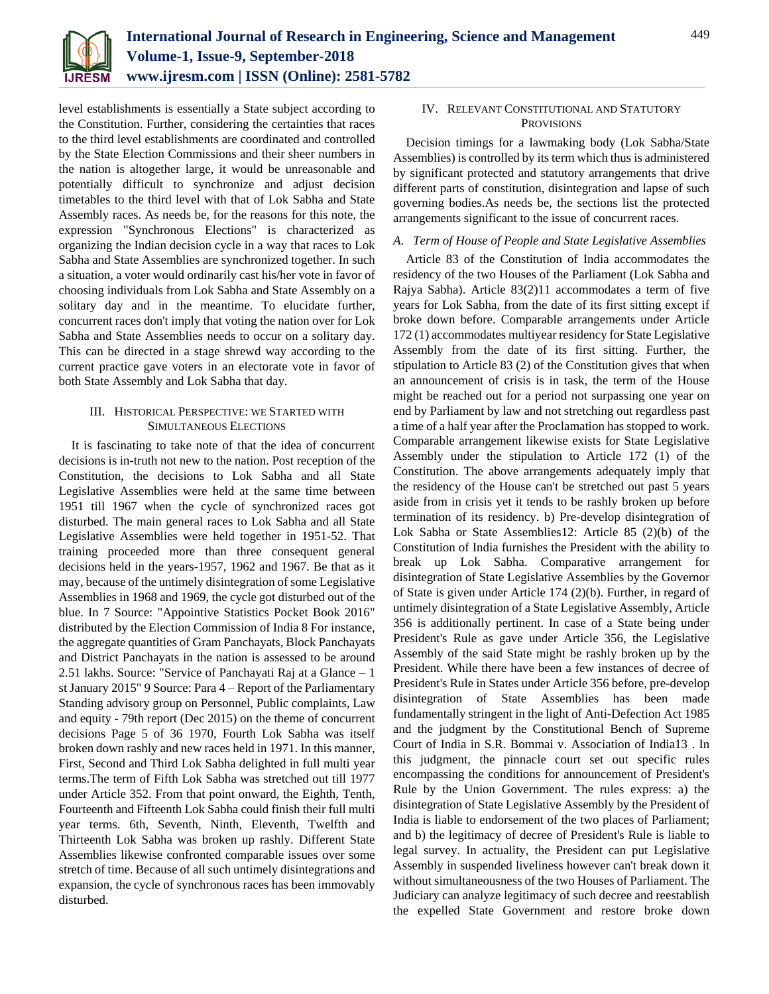

level establishments is essentially a State subject according to the Constitution. Further, considering the certainties that races to the third level establishments are coordinated and controlled by the State Election Commissions and their sheer numbers in the nation is altogether large, it would be unreasonable and potentially difficult to synchronize and adjust decision timetables to the third level with that of Lok Sabha and State Assembly races. As needs be, for the reasons for this note, the expression "Synchronous Elections" is characterized as organizing the Indian decision cycle in a way that races to Lok Sabha and State Assemblies are synchronized together. In such a situation, a voter would ordinarily cast his/her vote in favor of choosing individuals from Lok Sabha and State Assembly on a solitary day and in the meantime. To elucidate further, concurrent races don't imply that voting the nation over for Lok Sabha and State Assemblies needs to occur on a solitary day. This can be directed in a stage shrewd way according to the current practice gave voters in an electorate vote in favor of both State Assembly and Lok Sabha that day.

# III. HISTORICAL PERSPECTIVE: WE STARTED WITH SIMULTANEOUS ELECTIONS

It is fascinating to take note of that the idea of concurrent decisions is in-truth not new to the nation. Post reception of the Constitution, the decisions to Lok Sabha and all State Legislative Assemblies were held at the same time between 1951 till 1967 when the cycle of synchronized races got disturbed. The main general races to Lok Sabha and all State Legislative Assemblies were held together in 1951-52. That training proceeded more than three consequent general decisions held in the years-1957, 1962 and 1967. Be that as it may, because of the untimely disintegration of some Legislative Assemblies in 1968 and 1969, the cycle got disturbed out of the blue. In 7 Source: "Appointive Statistics Pocket Book 2016" distributed by the Election Commission of India 8 For instance, the aggregate quantities of Gram Panchayats, Block Panchayats and District Panchayats in the nation is assessed to be around 2.51 lakhs. Source: "Service of Panchayati Raj at a Glance – 1 st January 2015" 9 Source: Para 4 – Report of the Parliamentary Standing advisory group on Personnel, Public complaints, Law and equity - 79th report (Dec 2015) on the theme of concurrent decisions Page 5 of 36 1970, Fourth Lok Sabha was itself broken down rashly and new races held in 1971. In this manner, First, Second and Third Lok Sabha delighted in full multi year terms.The term of Fifth Lok Sabha was stretched out till 1977 under Article 352. From that point onward, the Eighth, Tenth, Fourteenth and Fifteenth Lok Sabha could finish their full multi year terms. 6th, Seventh, Ninth, Eleventh, Twelfth and Thirteenth Lok Sabha was broken up rashly. Different State Assemblies likewise confronted comparable issues over some stretch of time. Because of all such untimely disintegrations and expansion, the cycle of synchronous races has been immovably disturbed.

# IV. RELEVANT CONSTITUTIONAL AND STATUTORY **PROVISIONS**

Decision timings for a lawmaking body (Lok Sabha/State Assemblies) is controlled by its term which thus is administered by significant protected and statutory arrangements that drive different parts of constitution, disintegration and lapse of such governing bodies.As needs be, the sections list the protected arrangements significant to the issue of concurrent races.

# *A. Term of House of People and State Legislative Assemblies*

Article 83 of the Constitution of India accommodates the residency of the two Houses of the Parliament (Lok Sabha and Rajya Sabha). Article 83(2)11 accommodates a term of five years for Lok Sabha, from the date of its first sitting except if broke down before. Comparable arrangements under Article 172 (1) accommodates multiyear residency for State Legislative Assembly from the date of its first sitting. Further, the stipulation to Article 83 (2) of the Constitution gives that when an announcement of crisis is in task, the term of the House might be reached out for a period not surpassing one year on end by Parliament by law and not stretching out regardless past a time of a half year after the Proclamation has stopped to work. Comparable arrangement likewise exists for State Legislative Assembly under the stipulation to Article 172 (1) of the Constitution. The above arrangements adequately imply that the residency of the House can't be stretched out past 5 years aside from in crisis yet it tends to be rashly broken up before termination of its residency. b) Pre-develop disintegration of Lok Sabha or State Assemblies12: Article 85 (2)(b) of the Constitution of India furnishes the President with the ability to break up Lok Sabha. Comparative arrangement for disintegration of State Legislative Assemblies by the Governor of State is given under Article 174 (2)(b). Further, in regard of untimely disintegration of a State Legislative Assembly, Article 356 is additionally pertinent. In case of a State being under President's Rule as gave under Article 356, the Legislative Assembly of the said State might be rashly broken up by the President. While there have been a few instances of decree of President's Rule in States under Article 356 before, pre-develop disintegration of State Assemblies has been made fundamentally stringent in the light of Anti-Defection Act 1985 and the judgment by the Constitutional Bench of Supreme Court of India in S.R. Bommai v. Association of India13 . In this judgment, the pinnacle court set out specific rules encompassing the conditions for announcement of President's Rule by the Union Government. The rules express: a) the disintegration of State Legislative Assembly by the President of India is liable to endorsement of the two places of Parliament; and b) the legitimacy of decree of President's Rule is liable to legal survey. In actuality, the President can put Legislative Assembly in suspended liveliness however can't break down it without simultaneousness of the two Houses of Parliament. The Judiciary can analyze legitimacy of such decree and reestablish the expelled State Government and restore broke down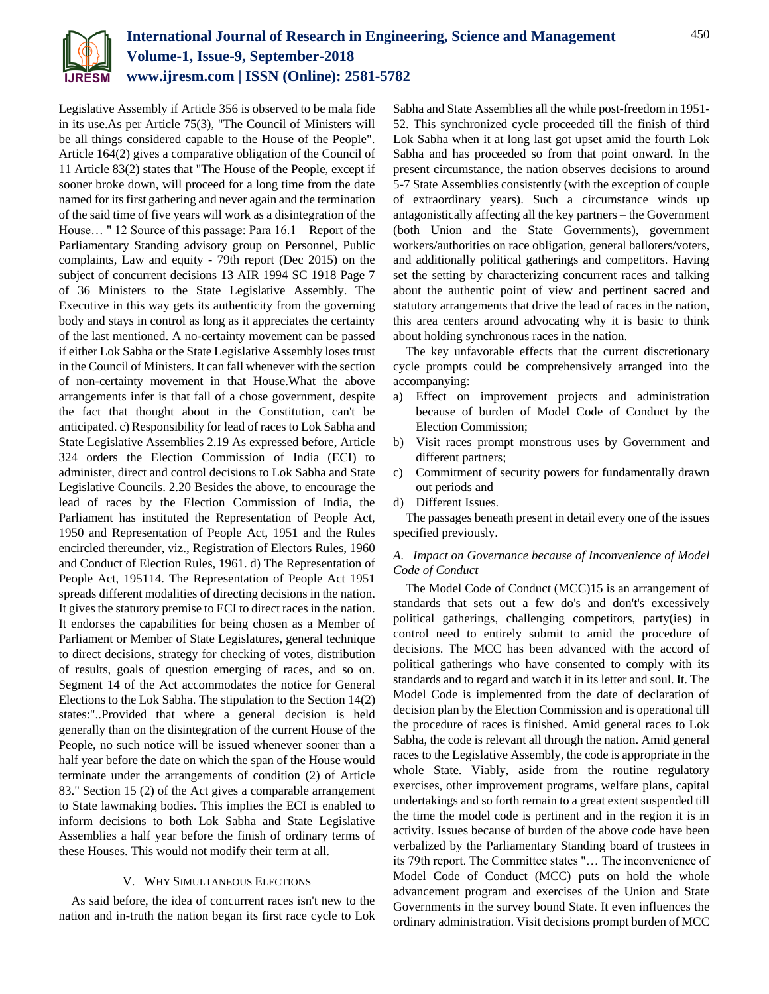

Legislative Assembly if Article 356 is observed to be mala fide in its use.As per Article 75(3), "The Council of Ministers will be all things considered capable to the House of the People". Article 164(2) gives a comparative obligation of the Council of 11 Article 83(2) states that "The House of the People, except if sooner broke down, will proceed for a long time from the date named for its first gathering and never again and the termination of the said time of five years will work as a disintegration of the House… " 12 Source of this passage: Para 16.1 – Report of the Parliamentary Standing advisory group on Personnel, Public complaints, Law and equity - 79th report (Dec 2015) on the subject of concurrent decisions 13 AIR 1994 SC 1918 Page 7 of 36 Ministers to the State Legislative Assembly. The Executive in this way gets its authenticity from the governing body and stays in control as long as it appreciates the certainty of the last mentioned. A no-certainty movement can be passed if either Lok Sabha or the State Legislative Assembly loses trust in the Council of Ministers. It can fall whenever with the section of non-certainty movement in that House.What the above arrangements infer is that fall of a chose government, despite the fact that thought about in the Constitution, can't be anticipated. c) Responsibility for lead of races to Lok Sabha and State Legislative Assemblies 2.19 As expressed before, Article 324 orders the Election Commission of India (ECI) to administer, direct and control decisions to Lok Sabha and State Legislative Councils. 2.20 Besides the above, to encourage the lead of races by the Election Commission of India, the Parliament has instituted the Representation of People Act, 1950 and Representation of People Act, 1951 and the Rules encircled thereunder, viz., Registration of Electors Rules, 1960 and Conduct of Election Rules, 1961. d) The Representation of People Act, 195114. The Representation of People Act 1951 spreads different modalities of directing decisions in the nation. It gives the statutory premise to ECI to direct races in the nation. It endorses the capabilities for being chosen as a Member of Parliament or Member of State Legislatures, general technique to direct decisions, strategy for checking of votes, distribution of results, goals of question emerging of races, and so on. Segment 14 of the Act accommodates the notice for General Elections to the Lok Sabha. The stipulation to the Section 14(2) states:"..Provided that where a general decision is held generally than on the disintegration of the current House of the People, no such notice will be issued whenever sooner than a half year before the date on which the span of the House would terminate under the arrangements of condition (2) of Article 83." Section 15 (2) of the Act gives a comparable arrangement to State lawmaking bodies. This implies the ECI is enabled to inform decisions to both Lok Sabha and State Legislative Assemblies a half year before the finish of ordinary terms of these Houses. This would not modify their term at all.

## V. WHY SIMULTANEOUS ELECTIONS

As said before, the idea of concurrent races isn't new to the nation and in-truth the nation began its first race cycle to Lok Sabha and State Assemblies all the while post-freedom in 1951- 52. This synchronized cycle proceeded till the finish of third Lok Sabha when it at long last got upset amid the fourth Lok Sabha and has proceeded so from that point onward. In the present circumstance, the nation observes decisions to around 5-7 State Assemblies consistently (with the exception of couple of extraordinary years). Such a circumstance winds up antagonistically affecting all the key partners – the Government (both Union and the State Governments), government workers/authorities on race obligation, general balloters/voters, and additionally political gatherings and competitors. Having set the setting by characterizing concurrent races and talking about the authentic point of view and pertinent sacred and statutory arrangements that drive the lead of races in the nation, this area centers around advocating why it is basic to think about holding synchronous races in the nation.

The key unfavorable effects that the current discretionary cycle prompts could be comprehensively arranged into the accompanying:

- a) Effect on improvement projects and administration because of burden of Model Code of Conduct by the Election Commission;
- b) Visit races prompt monstrous uses by Government and different partners;
- c) Commitment of security powers for fundamentally drawn out periods and
- d) Different Issues.

The passages beneath present in detail every one of the issues specified previously.

## *A. Impact on Governance because of Inconvenience of Model Code of Conduct*

The Model Code of Conduct (MCC)15 is an arrangement of standards that sets out a few do's and don't's excessively political gatherings, challenging competitors, party(ies) in control need to entirely submit to amid the procedure of decisions. The MCC has been advanced with the accord of political gatherings who have consented to comply with its standards and to regard and watch it in its letter and soul. It. The Model Code is implemented from the date of declaration of decision plan by the Election Commission and is operational till the procedure of races is finished. Amid general races to Lok Sabha, the code is relevant all through the nation. Amid general races to the Legislative Assembly, the code is appropriate in the whole State. Viably, aside from the routine regulatory exercises, other improvement programs, welfare plans, capital undertakings and so forth remain to a great extent suspended till the time the model code is pertinent and in the region it is in activity. Issues because of burden of the above code have been verbalized by the Parliamentary Standing board of trustees in its 79th report. The Committee states "… The inconvenience of Model Code of Conduct (MCC) puts on hold the whole advancement program and exercises of the Union and State Governments in the survey bound State. It even influences the ordinary administration. Visit decisions prompt burden of MCC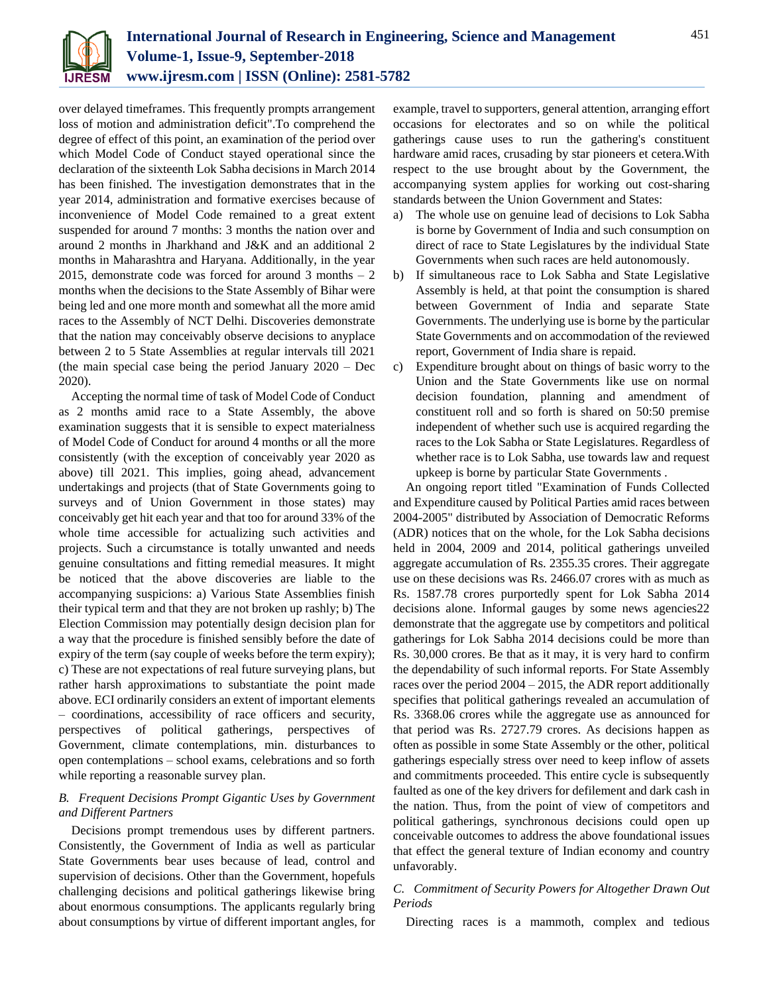

over delayed timeframes. This frequently prompts arrangement loss of motion and administration deficit".To comprehend the degree of effect of this point, an examination of the period over which Model Code of Conduct stayed operational since the declaration of the sixteenth Lok Sabha decisions in March 2014 has been finished. The investigation demonstrates that in the year 2014, administration and formative exercises because of inconvenience of Model Code remained to a great extent suspended for around 7 months: 3 months the nation over and around 2 months in Jharkhand and J&K and an additional 2 months in Maharashtra and Haryana. Additionally, in the year 2015, demonstrate code was forced for around  $3$  months  $-2$ months when the decisions to the State Assembly of Bihar were being led and one more month and somewhat all the more amid races to the Assembly of NCT Delhi. Discoveries demonstrate that the nation may conceivably observe decisions to anyplace between 2 to 5 State Assemblies at regular intervals till 2021 (the main special case being the period January 2020 – Dec 2020).

Accepting the normal time of task of Model Code of Conduct as 2 months amid race to a State Assembly, the above examination suggests that it is sensible to expect materialness of Model Code of Conduct for around 4 months or all the more consistently (with the exception of conceivably year 2020 as above) till 2021. This implies, going ahead, advancement undertakings and projects (that of State Governments going to surveys and of Union Government in those states) may conceivably get hit each year and that too for around 33% of the whole time accessible for actualizing such activities and projects. Such a circumstance is totally unwanted and needs genuine consultations and fitting remedial measures. It might be noticed that the above discoveries are liable to the accompanying suspicions: a) Various State Assemblies finish their typical term and that they are not broken up rashly; b) The Election Commission may potentially design decision plan for a way that the procedure is finished sensibly before the date of expiry of the term (say couple of weeks before the term expiry); c) These are not expectations of real future surveying plans, but rather harsh approximations to substantiate the point made above. ECI ordinarily considers an extent of important elements – coordinations, accessibility of race officers and security, perspectives of political gatherings, perspectives of Government, climate contemplations, min. disturbances to open contemplations – school exams, celebrations and so forth while reporting a reasonable survey plan.

# *B. Frequent Decisions Prompt Gigantic Uses by Government and Different Partners*

Decisions prompt tremendous uses by different partners. Consistently, the Government of India as well as particular State Governments bear uses because of lead, control and supervision of decisions. Other than the Government, hopefuls challenging decisions and political gatherings likewise bring about enormous consumptions. The applicants regularly bring about consumptions by virtue of different important angles, for

example, travel to supporters, general attention, arranging effort occasions for electorates and so on while the political gatherings cause uses to run the gathering's constituent hardware amid races, crusading by star pioneers et cetera.With respect to the use brought about by the Government, the accompanying system applies for working out cost-sharing standards between the Union Government and States:

- a) The whole use on genuine lead of decisions to Lok Sabha is borne by Government of India and such consumption on direct of race to State Legislatures by the individual State Governments when such races are held autonomously.
- b) If simultaneous race to Lok Sabha and State Legislative Assembly is held, at that point the consumption is shared between Government of India and separate State Governments. The underlying use is borne by the particular State Governments and on accommodation of the reviewed report, Government of India share is repaid.
- c) Expenditure brought about on things of basic worry to the Union and the State Governments like use on normal decision foundation, planning and amendment of constituent roll and so forth is shared on 50:50 premise independent of whether such use is acquired regarding the races to the Lok Sabha or State Legislatures. Regardless of whether race is to Lok Sabha, use towards law and request upkeep is borne by particular State Governments .

An ongoing report titled "Examination of Funds Collected and Expenditure caused by Political Parties amid races between 2004-2005" distributed by Association of Democratic Reforms (ADR) notices that on the whole, for the Lok Sabha decisions held in 2004, 2009 and 2014, political gatherings unveiled aggregate accumulation of Rs. 2355.35 crores. Their aggregate use on these decisions was Rs. 2466.07 crores with as much as Rs. 1587.78 crores purportedly spent for Lok Sabha 2014 decisions alone. Informal gauges by some news agencies22 demonstrate that the aggregate use by competitors and political gatherings for Lok Sabha 2014 decisions could be more than Rs. 30,000 crores. Be that as it may, it is very hard to confirm the dependability of such informal reports. For State Assembly races over the period 2004 – 2015, the ADR report additionally specifies that political gatherings revealed an accumulation of Rs. 3368.06 crores while the aggregate use as announced for that period was Rs. 2727.79 crores. As decisions happen as often as possible in some State Assembly or the other, political gatherings especially stress over need to keep inflow of assets and commitments proceeded. This entire cycle is subsequently faulted as one of the key drivers for defilement and dark cash in the nation. Thus, from the point of view of competitors and political gatherings, synchronous decisions could open up conceivable outcomes to address the above foundational issues that effect the general texture of Indian economy and country unfavorably.

# *C. Commitment of Security Powers for Altogether Drawn Out Periods*

Directing races is a mammoth, complex and tedious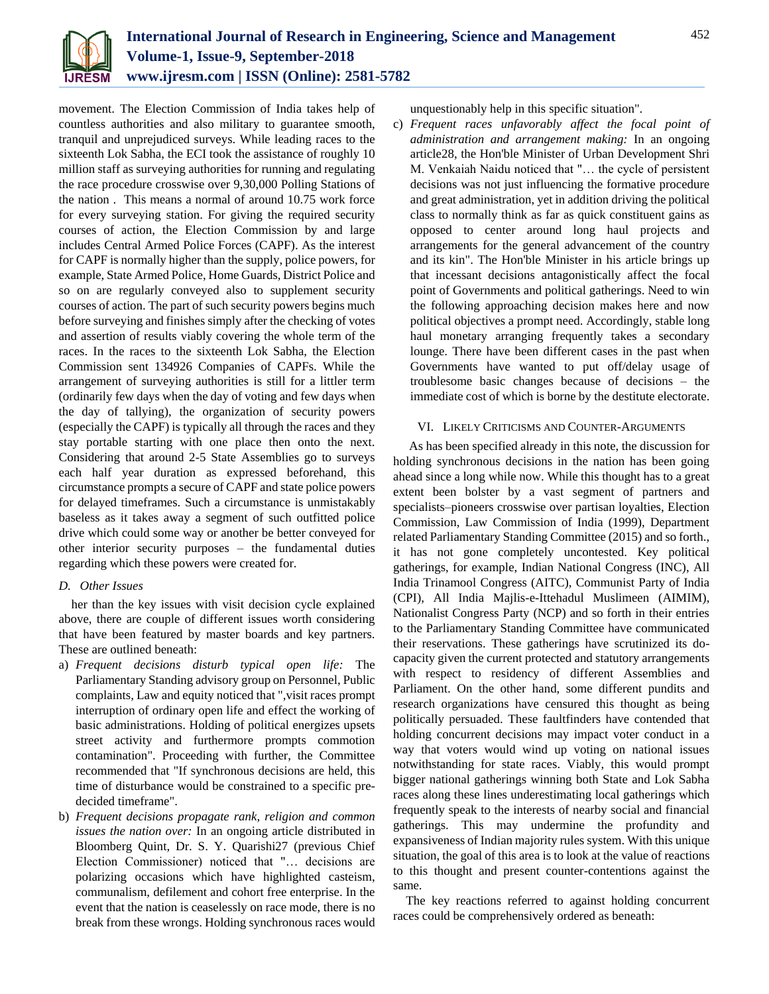

movement. The Election Commission of India takes help of countless authorities and also military to guarantee smooth, tranquil and unprejudiced surveys. While leading races to the sixteenth Lok Sabha, the ECI took the assistance of roughly 10 million staff as surveying authorities for running and regulating the race procedure crosswise over 9,30,000 Polling Stations of the nation . This means a normal of around 10.75 work force for every surveying station. For giving the required security courses of action, the Election Commission by and large includes Central Armed Police Forces (CAPF). As the interest for CAPF is normally higher than the supply, police powers, for example, State Armed Police, Home Guards, District Police and so on are regularly conveyed also to supplement security courses of action. The part of such security powers begins much before surveying and finishes simply after the checking of votes and assertion of results viably covering the whole term of the races. In the races to the sixteenth Lok Sabha, the Election Commission sent 134926 Companies of CAPFs. While the arrangement of surveying authorities is still for a littler term (ordinarily few days when the day of voting and few days when the day of tallying), the organization of security powers (especially the CAPF) is typically all through the races and they stay portable starting with one place then onto the next. Considering that around 2-5 State Assemblies go to surveys each half year duration as expressed beforehand, this circumstance prompts a secure of CAPF and state police powers for delayed timeframes. Such a circumstance is unmistakably baseless as it takes away a segment of such outfitted police drive which could some way or another be better conveyed for other interior security purposes – the fundamental duties regarding which these powers were created for.

# *D. Other Issues*

her than the key issues with visit decision cycle explained above, there are couple of different issues worth considering that have been featured by master boards and key partners. These are outlined beneath:

- a) *Frequent decisions disturb typical open life:* The Parliamentary Standing advisory group on Personnel, Public complaints, Law and equity noticed that ",visit races prompt interruption of ordinary open life and effect the working of basic administrations. Holding of political energizes upsets street activity and furthermore prompts commotion contamination". Proceeding with further, the Committee recommended that "If synchronous decisions are held, this time of disturbance would be constrained to a specific predecided timeframe".
- b) *Frequent decisions propagate rank, religion and common issues the nation over:* In an ongoing article distributed in Bloomberg Quint, Dr. S. Y. Quarishi27 (previous Chief Election Commissioner) noticed that "… decisions are polarizing occasions which have highlighted casteism, communalism, defilement and cohort free enterprise. In the event that the nation is ceaselessly on race mode, there is no break from these wrongs. Holding synchronous races would

unquestionably help in this specific situation".

c) *Frequent races unfavorably affect the focal point of administration and arrangement making:* In an ongoing article28, the Hon'ble Minister of Urban Development Shri M. Venkaiah Naidu noticed that "… the cycle of persistent decisions was not just influencing the formative procedure and great administration, yet in addition driving the political class to normally think as far as quick constituent gains as opposed to center around long haul projects and arrangements for the general advancement of the country and its kin". The Hon'ble Minister in his article brings up that incessant decisions antagonistically affect the focal point of Governments and political gatherings. Need to win the following approaching decision makes here and now political objectives a prompt need. Accordingly, stable long haul monetary arranging frequently takes a secondary lounge. There have been different cases in the past when Governments have wanted to put off/delay usage of troublesome basic changes because of decisions – the immediate cost of which is borne by the destitute electorate.

# VI. LIKELY CRITICISMS AND COUNTER-ARGUMENTS

As has been specified already in this note, the discussion for holding synchronous decisions in the nation has been going ahead since a long while now. While this thought has to a great extent been bolster by a vast segment of partners and specialists–pioneers crosswise over partisan loyalties, Election Commission, Law Commission of India (1999), Department related Parliamentary Standing Committee (2015) and so forth., it has not gone completely uncontested. Key political gatherings, for example, Indian National Congress (INC), All India Trinamool Congress (AITC), Communist Party of India (CPI), All India Majlis-e-Ittehadul Muslimeen (AIMIM), Nationalist Congress Party (NCP) and so forth in their entries to the Parliamentary Standing Committee have communicated their reservations. These gatherings have scrutinized its docapacity given the current protected and statutory arrangements with respect to residency of different Assemblies and Parliament. On the other hand, some different pundits and research organizations have censured this thought as being politically persuaded. These faultfinders have contended that holding concurrent decisions may impact voter conduct in a way that voters would wind up voting on national issues notwithstanding for state races. Viably, this would prompt bigger national gatherings winning both State and Lok Sabha races along these lines underestimating local gatherings which frequently speak to the interests of nearby social and financial gatherings. This may undermine the profundity and expansiveness of Indian majority rules system. With this unique situation, the goal of this area is to look at the value of reactions to this thought and present counter-contentions against the same.

The key reactions referred to against holding concurrent races could be comprehensively ordered as beneath: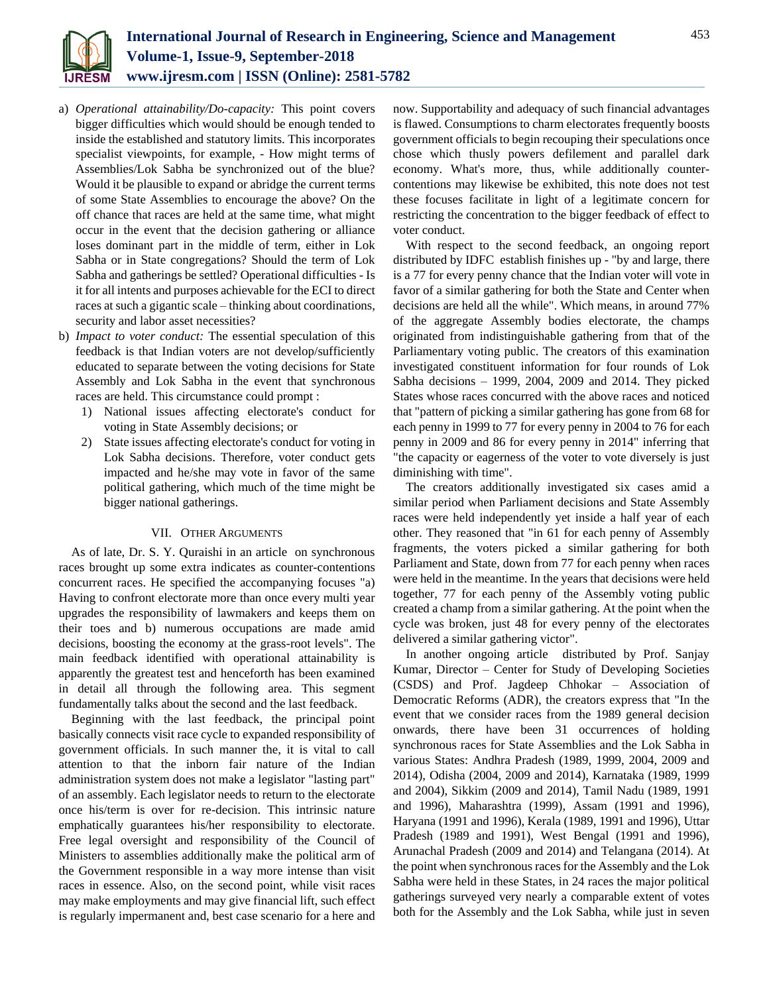

- a) *Operational attainability/Do-capacity:* This point covers bigger difficulties which would should be enough tended to inside the established and statutory limits. This incorporates specialist viewpoints, for example, - How might terms of Assemblies/Lok Sabha be synchronized out of the blue? Would it be plausible to expand or abridge the current terms of some State Assemblies to encourage the above? On the off chance that races are held at the same time, what might occur in the event that the decision gathering or alliance loses dominant part in the middle of term, either in Lok Sabha or in State congregations? Should the term of Lok Sabha and gatherings be settled? Operational difficulties - Is it for all intents and purposes achievable for the ECI to direct races at such a gigantic scale – thinking about coordinations, security and labor asset necessities?
- b) *Impact to voter conduct:* The essential speculation of this feedback is that Indian voters are not develop/sufficiently educated to separate between the voting decisions for State Assembly and Lok Sabha in the event that synchronous races are held. This circumstance could prompt :
	- 1) National issues affecting electorate's conduct for voting in State Assembly decisions; or
	- 2) State issues affecting electorate's conduct for voting in Lok Sabha decisions. Therefore, voter conduct gets impacted and he/she may vote in favor of the same political gathering, which much of the time might be bigger national gatherings.

## VII. OTHER ARGUMENTS

As of late, Dr. S. Y. Quraishi in an article on synchronous races brought up some extra indicates as counter-contentions concurrent races. He specified the accompanying focuses "a) Having to confront electorate more than once every multi year upgrades the responsibility of lawmakers and keeps them on their toes and b) numerous occupations are made amid decisions, boosting the economy at the grass-root levels". The main feedback identified with operational attainability is apparently the greatest test and henceforth has been examined in detail all through the following area. This segment fundamentally talks about the second and the last feedback.

Beginning with the last feedback, the principal point basically connects visit race cycle to expanded responsibility of government officials. In such manner the, it is vital to call attention to that the inborn fair nature of the Indian administration system does not make a legislator "lasting part" of an assembly. Each legislator needs to return to the electorate once his/term is over for re-decision. This intrinsic nature emphatically guarantees his/her responsibility to electorate. Free legal oversight and responsibility of the Council of Ministers to assemblies additionally make the political arm of the Government responsible in a way more intense than visit races in essence. Also, on the second point, while visit races may make employments and may give financial lift, such effect is regularly impermanent and, best case scenario for a here and

now. Supportability and adequacy of such financial advantages is flawed. Consumptions to charm electorates frequently boosts government officials to begin recouping their speculations once chose which thusly powers defilement and parallel dark economy. What's more, thus, while additionally countercontentions may likewise be exhibited, this note does not test these focuses facilitate in light of a legitimate concern for restricting the concentration to the bigger feedback of effect to voter conduct.

With respect to the second feedback, an ongoing report distributed by IDFC establish finishes up - "by and large, there is a 77 for every penny chance that the Indian voter will vote in favor of a similar gathering for both the State and Center when decisions are held all the while". Which means, in around 77% of the aggregate Assembly bodies electorate, the champs originated from indistinguishable gathering from that of the Parliamentary voting public. The creators of this examination investigated constituent information for four rounds of Lok Sabha decisions – 1999, 2004, 2009 and 2014. They picked States whose races concurred with the above races and noticed that "pattern of picking a similar gathering has gone from 68 for each penny in 1999 to 77 for every penny in 2004 to 76 for each penny in 2009 and 86 for every penny in 2014" inferring that "the capacity or eagerness of the voter to vote diversely is just diminishing with time".

The creators additionally investigated six cases amid a similar period when Parliament decisions and State Assembly races were held independently yet inside a half year of each other. They reasoned that "in 61 for each penny of Assembly fragments, the voters picked a similar gathering for both Parliament and State, down from 77 for each penny when races were held in the meantime. In the years that decisions were held together, 77 for each penny of the Assembly voting public created a champ from a similar gathering. At the point when the cycle was broken, just 48 for every penny of the electorates delivered a similar gathering victor".

In another ongoing article distributed by Prof. Sanjay Kumar, Director – Center for Study of Developing Societies (CSDS) and Prof. Jagdeep Chhokar – Association of Democratic Reforms (ADR), the creators express that "In the event that we consider races from the 1989 general decision onwards, there have been 31 occurrences of holding synchronous races for State Assemblies and the Lok Sabha in various States: Andhra Pradesh (1989, 1999, 2004, 2009 and 2014), Odisha (2004, 2009 and 2014), Karnataka (1989, 1999 and 2004), Sikkim (2009 and 2014), Tamil Nadu (1989, 1991 and 1996), Maharashtra (1999), Assam (1991 and 1996), Haryana (1991 and 1996), Kerala (1989, 1991 and 1996), Uttar Pradesh (1989 and 1991), West Bengal (1991 and 1996), Arunachal Pradesh (2009 and 2014) and Telangana (2014). At the point when synchronous races for the Assembly and the Lok Sabha were held in these States, in 24 races the major political gatherings surveyed very nearly a comparable extent of votes both for the Assembly and the Lok Sabha, while just in seven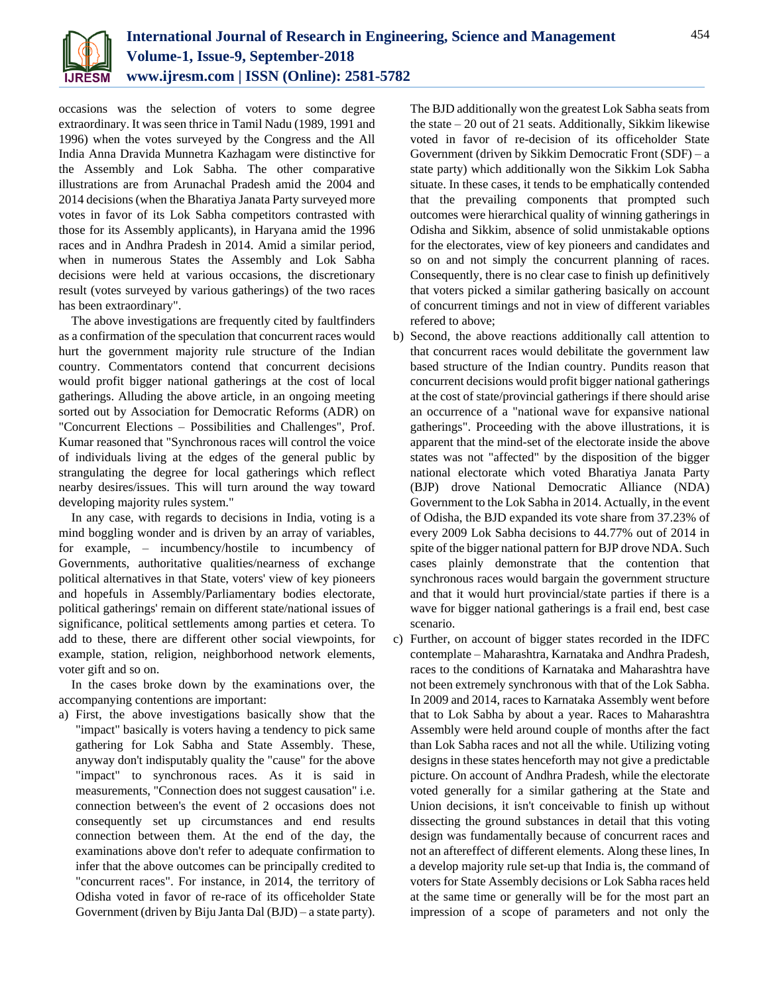

occasions was the selection of voters to some degree extraordinary. It was seen thrice in Tamil Nadu (1989, 1991 and 1996) when the votes surveyed by the Congress and the All India Anna Dravida Munnetra Kazhagam were distinctive for the Assembly and Lok Sabha. The other comparative illustrations are from Arunachal Pradesh amid the 2004 and 2014 decisions (when the Bharatiya Janata Party surveyed more votes in favor of its Lok Sabha competitors contrasted with those for its Assembly applicants), in Haryana amid the 1996 races and in Andhra Pradesh in 2014. Amid a similar period, when in numerous States the Assembly and Lok Sabha decisions were held at various occasions, the discretionary result (votes surveyed by various gatherings) of the two races has been extraordinary".

The above investigations are frequently cited by faultfinders as a confirmation of the speculation that concurrent races would hurt the government majority rule structure of the Indian country. Commentators contend that concurrent decisions would profit bigger national gatherings at the cost of local gatherings. Alluding the above article, in an ongoing meeting sorted out by Association for Democratic Reforms (ADR) on "Concurrent Elections – Possibilities and Challenges", Prof. Kumar reasoned that "Synchronous races will control the voice of individuals living at the edges of the general public by strangulating the degree for local gatherings which reflect nearby desires/issues. This will turn around the way toward developing majority rules system."

In any case, with regards to decisions in India, voting is a mind boggling wonder and is driven by an array of variables, for example, – incumbency/hostile to incumbency of Governments, authoritative qualities/nearness of exchange political alternatives in that State, voters' view of key pioneers and hopefuls in Assembly/Parliamentary bodies electorate, political gatherings' remain on different state/national issues of significance, political settlements among parties et cetera. To add to these, there are different other social viewpoints, for example, station, religion, neighborhood network elements, voter gift and so on.

In the cases broke down by the examinations over, the accompanying contentions are important:

a) First, the above investigations basically show that the "impact" basically is voters having a tendency to pick same gathering for Lok Sabha and State Assembly. These, anyway don't indisputably quality the "cause" for the above "impact" to synchronous races. As it is said in measurements, "Connection does not suggest causation" i.e. connection between's the event of 2 occasions does not consequently set up circumstances and end results connection between them. At the end of the day, the examinations above don't refer to adequate confirmation to infer that the above outcomes can be principally credited to "concurrent races". For instance, in 2014, the territory of Odisha voted in favor of re-race of its officeholder State Government (driven by Biju Janta Dal (BJD) – a state party).

The BJD additionally won the greatest Lok Sabha seats from the state – 20 out of 21 seats. Additionally, Sikkim likewise voted in favor of re-decision of its officeholder State Government (driven by Sikkim Democratic Front (SDF) – a state party) which additionally won the Sikkim Lok Sabha situate. In these cases, it tends to be emphatically contended that the prevailing components that prompted such outcomes were hierarchical quality of winning gatherings in Odisha and Sikkim, absence of solid unmistakable options for the electorates, view of key pioneers and candidates and so on and not simply the concurrent planning of races. Consequently, there is no clear case to finish up definitively that voters picked a similar gathering basically on account of concurrent timings and not in view of different variables refered to above;

- b) Second, the above reactions additionally call attention to that concurrent races would debilitate the government law based structure of the Indian country. Pundits reason that concurrent decisions would profit bigger national gatherings at the cost of state/provincial gatherings if there should arise an occurrence of a "national wave for expansive national gatherings". Proceeding with the above illustrations, it is apparent that the mind-set of the electorate inside the above states was not "affected" by the disposition of the bigger national electorate which voted Bharatiya Janata Party (BJP) drove National Democratic Alliance (NDA) Government to the Lok Sabha in 2014. Actually, in the event of Odisha, the BJD expanded its vote share from 37.23% of every 2009 Lok Sabha decisions to 44.77% out of 2014 in spite of the bigger national pattern for BJP drove NDA. Such cases plainly demonstrate that the contention that synchronous races would bargain the government structure and that it would hurt provincial/state parties if there is a wave for bigger national gatherings is a frail end, best case scenario.
- c) Further, on account of bigger states recorded in the IDFC contemplate – Maharashtra, Karnataka and Andhra Pradesh, races to the conditions of Karnataka and Maharashtra have not been extremely synchronous with that of the Lok Sabha. In 2009 and 2014, races to Karnataka Assembly went before that to Lok Sabha by about a year. Races to Maharashtra Assembly were held around couple of months after the fact than Lok Sabha races and not all the while. Utilizing voting designs in these states henceforth may not give a predictable picture. On account of Andhra Pradesh, while the electorate voted generally for a similar gathering at the State and Union decisions, it isn't conceivable to finish up without dissecting the ground substances in detail that this voting design was fundamentally because of concurrent races and not an aftereffect of different elements. Along these lines, In a develop majority rule set-up that India is, the command of voters for State Assembly decisions or Lok Sabha races held at the same time or generally will be for the most part an impression of a scope of parameters and not only the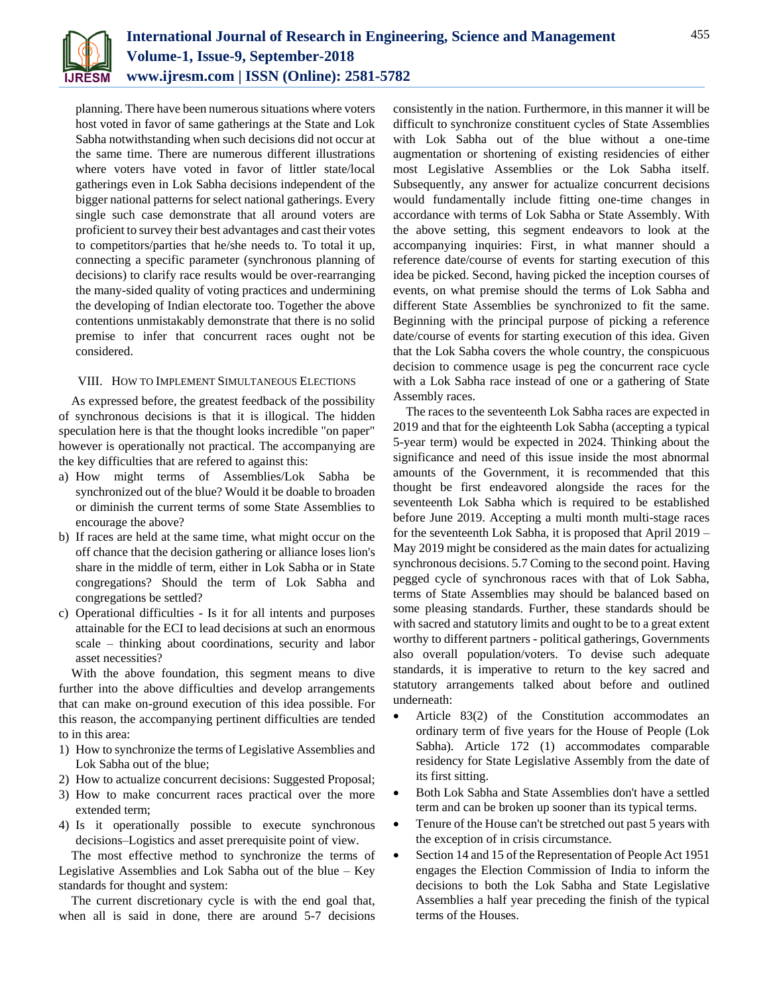

planning. There have been numerous situations where voters host voted in favor of same gatherings at the State and Lok Sabha notwithstanding when such decisions did not occur at the same time. There are numerous different illustrations where voters have voted in favor of littler state/local gatherings even in Lok Sabha decisions independent of the bigger national patterns for select national gatherings. Every single such case demonstrate that all around voters are proficient to survey their best advantages and cast their votes to competitors/parties that he/she needs to. To total it up, connecting a specific parameter (synchronous planning of decisions) to clarify race results would be over-rearranging the many-sided quality of voting practices and undermining the developing of Indian electorate too. Together the above contentions unmistakably demonstrate that there is no solid premise to infer that concurrent races ought not be considered.

#### VIII. HOW TO IMPLEMENT SIMULTANEOUS ELECTIONS

As expressed before, the greatest feedback of the possibility of synchronous decisions is that it is illogical. The hidden speculation here is that the thought looks incredible "on paper" however is operationally not practical. The accompanying are the key difficulties that are refered to against this:

- a) How might terms of Assemblies/Lok Sabha be synchronized out of the blue? Would it be doable to broaden or diminish the current terms of some State Assemblies to encourage the above?
- b) If races are held at the same time, what might occur on the off chance that the decision gathering or alliance loses lion's share in the middle of term, either in Lok Sabha or in State congregations? Should the term of Lok Sabha and congregations be settled?
- c) Operational difficulties Is it for all intents and purposes attainable for the ECI to lead decisions at such an enormous scale – thinking about coordinations, security and labor asset necessities?

With the above foundation, this segment means to dive further into the above difficulties and develop arrangements that can make on-ground execution of this idea possible. For this reason, the accompanying pertinent difficulties are tended to in this area:

- 1) How to synchronize the terms of Legislative Assemblies and Lok Sabha out of the blue;
- 2) How to actualize concurrent decisions: Suggested Proposal;
- 3) How to make concurrent races practical over the more extended term;
- 4) Is it operationally possible to execute synchronous decisions–Logistics and asset prerequisite point of view.

The most effective method to synchronize the terms of Legislative Assemblies and Lok Sabha out of the blue – Key standards for thought and system:

The current discretionary cycle is with the end goal that, when all is said in done, there are around 5-7 decisions

consistently in the nation. Furthermore, in this manner it will be difficult to synchronize constituent cycles of State Assemblies with Lok Sabha out of the blue without a one-time augmentation or shortening of existing residencies of either most Legislative Assemblies or the Lok Sabha itself. Subsequently, any answer for actualize concurrent decisions would fundamentally include fitting one-time changes in accordance with terms of Lok Sabha or State Assembly. With the above setting, this segment endeavors to look at the accompanying inquiries: First, in what manner should a reference date/course of events for starting execution of this idea be picked. Second, having picked the inception courses of events, on what premise should the terms of Lok Sabha and different State Assemblies be synchronized to fit the same. Beginning with the principal purpose of picking a reference date/course of events for starting execution of this idea. Given that the Lok Sabha covers the whole country, the conspicuous decision to commence usage is peg the concurrent race cycle with a Lok Sabha race instead of one or a gathering of State Assembly races.

The races to the seventeenth Lok Sabha races are expected in 2019 and that for the eighteenth Lok Sabha (accepting a typical 5-year term) would be expected in 2024. Thinking about the significance and need of this issue inside the most abnormal amounts of the Government, it is recommended that this thought be first endeavored alongside the races for the seventeenth Lok Sabha which is required to be established before June 2019. Accepting a multi month multi-stage races for the seventeenth Lok Sabha, it is proposed that April 2019 – May 2019 might be considered as the main dates for actualizing synchronous decisions. 5.7 Coming to the second point. Having pegged cycle of synchronous races with that of Lok Sabha, terms of State Assemblies may should be balanced based on some pleasing standards. Further, these standards should be with sacred and statutory limits and ought to be to a great extent worthy to different partners - political gatherings, Governments also overall population/voters. To devise such adequate standards, it is imperative to return to the key sacred and statutory arrangements talked about before and outlined underneath:

- Article 83(2) of the Constitution accommodates an ordinary term of five years for the House of People (Lok Sabha). Article 172 (1) accommodates comparable residency for State Legislative Assembly from the date of its first sitting.
- Both Lok Sabha and State Assemblies don't have a settled term and can be broken up sooner than its typical terms.
- Tenure of the House can't be stretched out past 5 years with the exception of in crisis circumstance.
- Section 14 and 15 of the Representation of People Act 1951 engages the Election Commission of India to inform the decisions to both the Lok Sabha and State Legislative Assemblies a half year preceding the finish of the typical terms of the Houses.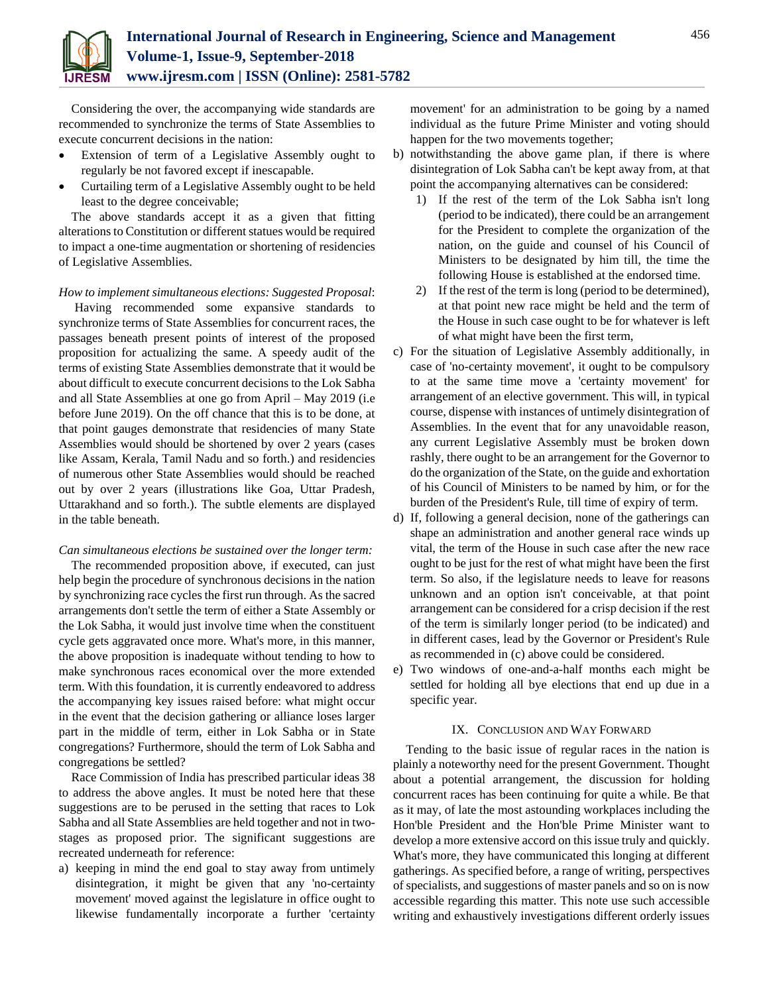

Considering the over, the accompanying wide standards are recommended to synchronize the terms of State Assemblies to execute concurrent decisions in the nation:

- Extension of term of a Legislative Assembly ought to regularly be not favored except if inescapable.
- Curtailing term of a Legislative Assembly ought to be held least to the degree conceivable;

The above standards accept it as a given that fitting alterations to Constitution or different statues would be required to impact a one-time augmentation or shortening of residencies of Legislative Assemblies.

## *How to implement simultaneous elections: Suggested Proposal*:

Having recommended some expansive standards to synchronize terms of State Assemblies for concurrent races, the passages beneath present points of interest of the proposed proposition for actualizing the same. A speedy audit of the terms of existing State Assemblies demonstrate that it would be about difficult to execute concurrent decisions to the Lok Sabha and all State Assemblies at one go from April – May 2019 (i.e before June 2019). On the off chance that this is to be done, at that point gauges demonstrate that residencies of many State Assemblies would should be shortened by over 2 years (cases like Assam, Kerala, Tamil Nadu and so forth.) and residencies of numerous other State Assemblies would should be reached out by over 2 years (illustrations like Goa, Uttar Pradesh, Uttarakhand and so forth.). The subtle elements are displayed in the table beneath.

### *Can simultaneous elections be sustained over the longer term:*

The recommended proposition above, if executed, can just help begin the procedure of synchronous decisions in the nation by synchronizing race cycles the first run through. As the sacred arrangements don't settle the term of either a State Assembly or the Lok Sabha, it would just involve time when the constituent cycle gets aggravated once more. What's more, in this manner, the above proposition is inadequate without tending to how to make synchronous races economical over the more extended term. With this foundation, it is currently endeavored to address the accompanying key issues raised before: what might occur in the event that the decision gathering or alliance loses larger part in the middle of term, either in Lok Sabha or in State congregations? Furthermore, should the term of Lok Sabha and congregations be settled?

Race Commission of India has prescribed particular ideas 38 to address the above angles. It must be noted here that these suggestions are to be perused in the setting that races to Lok Sabha and all State Assemblies are held together and not in twostages as proposed prior. The significant suggestions are recreated underneath for reference:

a) keeping in mind the end goal to stay away from untimely disintegration, it might be given that any 'no-certainty movement' moved against the legislature in office ought to likewise fundamentally incorporate a further 'certainty movement' for an administration to be going by a named individual as the future Prime Minister and voting should happen for the two movements together;

- b) notwithstanding the above game plan, if there is where disintegration of Lok Sabha can't be kept away from, at that point the accompanying alternatives can be considered:
	- 1) If the rest of the term of the Lok Sabha isn't long (period to be indicated), there could be an arrangement for the President to complete the organization of the nation, on the guide and counsel of his Council of Ministers to be designated by him till, the time the following House is established at the endorsed time.
	- 2) If the rest of the term is long (period to be determined), at that point new race might be held and the term of the House in such case ought to be for whatever is left of what might have been the first term,
- c) For the situation of Legislative Assembly additionally, in case of 'no-certainty movement', it ought to be compulsory to at the same time move a 'certainty movement' for arrangement of an elective government. This will, in typical course, dispense with instances of untimely disintegration of Assemblies. In the event that for any unavoidable reason, any current Legislative Assembly must be broken down rashly, there ought to be an arrangement for the Governor to do the organization of the State, on the guide and exhortation of his Council of Ministers to be named by him, or for the burden of the President's Rule, till time of expiry of term.
- d) If, following a general decision, none of the gatherings can shape an administration and another general race winds up vital, the term of the House in such case after the new race ought to be just for the rest of what might have been the first term. So also, if the legislature needs to leave for reasons unknown and an option isn't conceivable, at that point arrangement can be considered for a crisp decision if the rest of the term is similarly longer period (to be indicated) and in different cases, lead by the Governor or President's Rule as recommended in (c) above could be considered.
- e) Two windows of one-and-a-half months each might be settled for holding all bye elections that end up due in a specific year.

## IX. CONCLUSION AND WAY FORWARD

Tending to the basic issue of regular races in the nation is plainly a noteworthy need for the present Government. Thought about a potential arrangement, the discussion for holding concurrent races has been continuing for quite a while. Be that as it may, of late the most astounding workplaces including the Hon'ble President and the Hon'ble Prime Minister want to develop a more extensive accord on this issue truly and quickly. What's more, they have communicated this longing at different gatherings. As specified before, a range of writing, perspectives of specialists, and suggestions of master panels and so on is now accessible regarding this matter. This note use such accessible writing and exhaustively investigations different orderly issues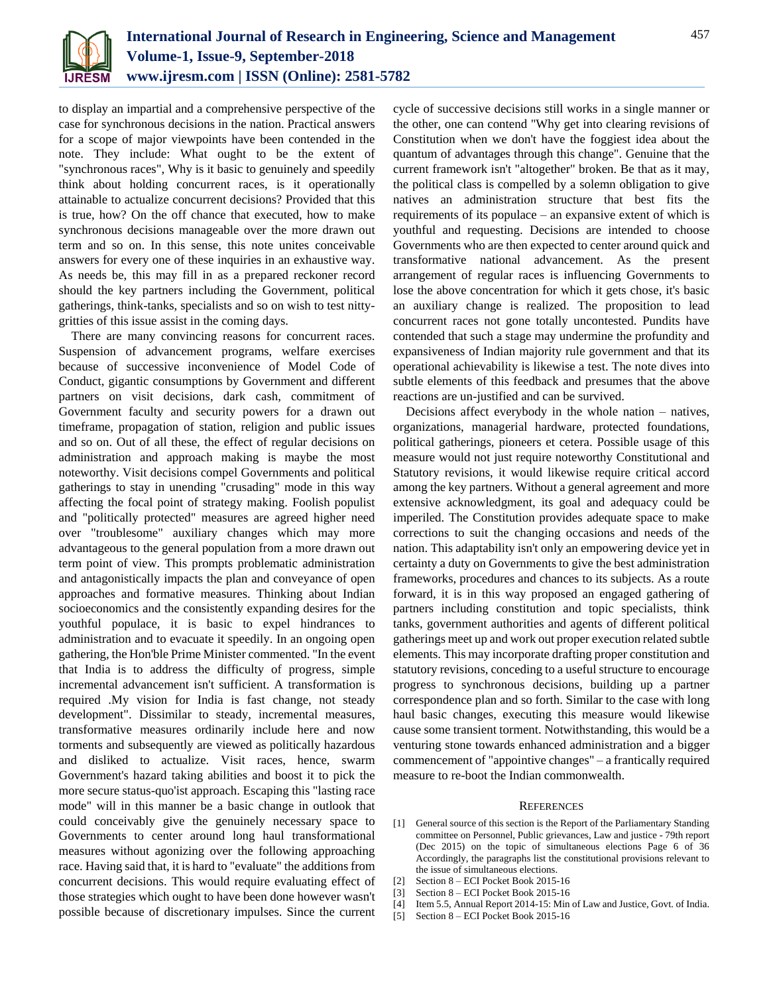

to display an impartial and a comprehensive perspective of the case for synchronous decisions in the nation. Practical answers for a scope of major viewpoints have been contended in the note. They include: What ought to be the extent of "synchronous races", Why is it basic to genuinely and speedily think about holding concurrent races, is it operationally attainable to actualize concurrent decisions? Provided that this is true, how? On the off chance that executed, how to make synchronous decisions manageable over the more drawn out term and so on. In this sense, this note unites conceivable answers for every one of these inquiries in an exhaustive way. As needs be, this may fill in as a prepared reckoner record should the key partners including the Government, political gatherings, think-tanks, specialists and so on wish to test nittygritties of this issue assist in the coming days.

There are many convincing reasons for concurrent races. Suspension of advancement programs, welfare exercises because of successive inconvenience of Model Code of Conduct, gigantic consumptions by Government and different partners on visit decisions, dark cash, commitment of Government faculty and security powers for a drawn out timeframe, propagation of station, religion and public issues and so on. Out of all these, the effect of regular decisions on administration and approach making is maybe the most noteworthy. Visit decisions compel Governments and political gatherings to stay in unending "crusading" mode in this way affecting the focal point of strategy making. Foolish populist and "politically protected" measures are agreed higher need over "troublesome" auxiliary changes which may more advantageous to the general population from a more drawn out term point of view. This prompts problematic administration and antagonistically impacts the plan and conveyance of open approaches and formative measures. Thinking about Indian socioeconomics and the consistently expanding desires for the youthful populace, it is basic to expel hindrances to administration and to evacuate it speedily. In an ongoing open gathering, the Hon'ble Prime Minister commented. "In the event that India is to address the difficulty of progress, simple incremental advancement isn't sufficient. A transformation is required .My vision for India is fast change, not steady development". Dissimilar to steady, incremental measures, transformative measures ordinarily include here and now torments and subsequently are viewed as politically hazardous and disliked to actualize. Visit races, hence, swarm Government's hazard taking abilities and boost it to pick the more secure status-quo'ist approach. Escaping this "lasting race mode" will in this manner be a basic change in outlook that could conceivably give the genuinely necessary space to Governments to center around long haul transformational measures without agonizing over the following approaching race. Having said that, it is hard to "evaluate" the additions from concurrent decisions. This would require evaluating effect of those strategies which ought to have been done however wasn't possible because of discretionary impulses. Since the current cycle of successive decisions still works in a single manner or the other, one can contend "Why get into clearing revisions of Constitution when we don't have the foggiest idea about the quantum of advantages through this change". Genuine that the current framework isn't "altogether" broken. Be that as it may, the political class is compelled by a solemn obligation to give natives an administration structure that best fits the requirements of its populace – an expansive extent of which is youthful and requesting. Decisions are intended to choose Governments who are then expected to center around quick and transformative national advancement. As the present arrangement of regular races is influencing Governments to lose the above concentration for which it gets chose, it's basic an auxiliary change is realized. The proposition to lead concurrent races not gone totally uncontested. Pundits have contended that such a stage may undermine the profundity and expansiveness of Indian majority rule government and that its operational achievability is likewise a test. The note dives into subtle elements of this feedback and presumes that the above reactions are un-justified and can be survived.

Decisions affect everybody in the whole nation – natives, organizations, managerial hardware, protected foundations, political gatherings, pioneers et cetera. Possible usage of this measure would not just require noteworthy Constitutional and Statutory revisions, it would likewise require critical accord among the key partners. Without a general agreement and more extensive acknowledgment, its goal and adequacy could be imperiled. The Constitution provides adequate space to make corrections to suit the changing occasions and needs of the nation. This adaptability isn't only an empowering device yet in certainty a duty on Governments to give the best administration frameworks, procedures and chances to its subjects. As a route forward, it is in this way proposed an engaged gathering of partners including constitution and topic specialists, think tanks, government authorities and agents of different political gatherings meet up and work out proper execution related subtle elements. This may incorporate drafting proper constitution and statutory revisions, conceding to a useful structure to encourage progress to synchronous decisions, building up a partner correspondence plan and so forth. Similar to the case with long haul basic changes, executing this measure would likewise cause some transient torment. Notwithstanding, this would be a venturing stone towards enhanced administration and a bigger commencement of "appointive changes" – a frantically required measure to re-boot the Indian commonwealth.

#### **REFERENCES**

- [1] General source of this section is the Report of the Parliamentary Standing committee on Personnel, Public grievances, Law and justice - 79th report (Dec 2015) on the topic of simultaneous elections Page 6 of 36 Accordingly, the paragraphs list the constitutional provisions relevant to the issue of simultaneous elections.
- [2] Section 8 ECI Pocket Book 2015-16
- [3] Section 8 ECI Pocket Book 2015-16
- [4] Item 5.5, Annual Report 2014-15: Min of Law and Justice, Govt. of India.
- [5] Section 8 ECI Pocket Book 2015-16